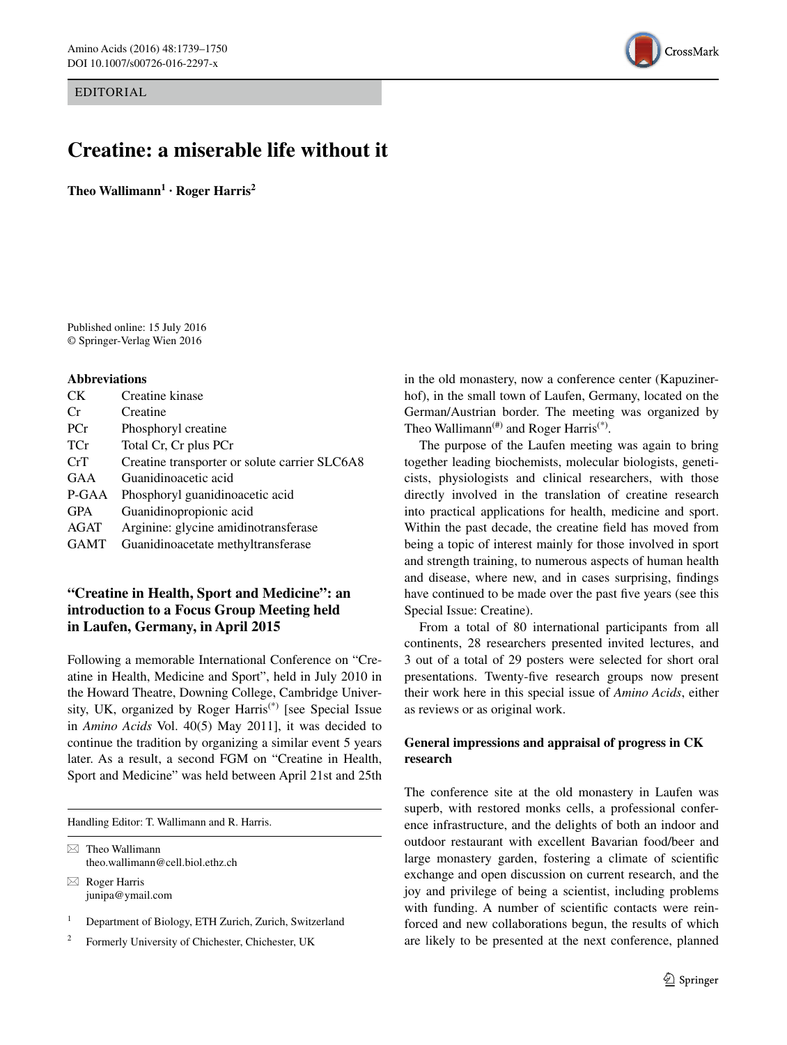EDITORIAL

# **Creatine: a miserable life without it**

**Theo Wallimann**<sup> $1$ </sup> **· Roger Harris**<sup> $2$ </sup>

Published online: 15 July 2016 © Springer-Verlag Wien 2016

### **Abbreviations**

| <b>CK</b>   | Creatine kinase                               |
|-------------|-----------------------------------------------|
| Cr          | Creatine                                      |
| PCr         | Phosphoryl creatine                           |
| TCr         | Total Cr, Cr plus PCr                         |
| CrT         | Creatine transporter or solute carrier SLC6A8 |
| <b>GAA</b>  | Guanidinoacetic acid                          |
| P-GAA       | Phosphoryl guanidinoacetic acid               |
| <b>GPA</b>  | Guanidinopropionic acid                       |
| AGAT        | Arginine: glycine amidinotransferase          |
| <b>GAMT</b> | Guanidinoacetate methyltransferase            |

# **"Creatine in Health, Sport and Medicine": an introduction to a Focus Group Meeting held in Laufen, Germany, in April 2015**

Following a memorable International Conference on "Creatine in Health, Medicine and Sport", held in July 2010 in the Howard Theatre, Downing College, Cambridge University, UK, organized by Roger Harris<sup>(\*)</sup> [see Special Issue in *Amino Acids* Vol. 40(5) May 2011], it was decided to continue the tradition by organizing a similar event 5 years later. As a result, a second FGM on "Creatine in Health, Sport and Medicine" was held between April 21st and 25th

Handling Editor: T. Wallimann and R. Harris.

 $\boxtimes$  Theo Wallimann theo.wallimann@cell.biol.ethz.ch

 $\boxtimes$  Roger Harris junipa@ymail.com

- <sup>1</sup> Department of Biology, ETH Zurich, Zurich, Switzerland
- <sup>2</sup> Formerly University of Chichester, Chichester, UK

in the old monastery, now a conference center (Kapuzinerhof), in the small town of Laufen, Germany, located on the German/Austrian border. The meeting was organized by Theo Wallimann<sup>(#)</sup> and Roger Harris<sup>(\*)</sup>.

The purpose of the Laufen meeting was again to bring together leading biochemists, molecular biologists, geneticists, physiologists and clinical researchers, with those directly involved in the translation of creatine research into practical applications for health, medicine and sport. Within the past decade, the creatine field has moved from being a topic of interest mainly for those involved in sport and strength training, to numerous aspects of human health and disease, where new, and in cases surprising, findings have continued to be made over the past five years (see this Special Issue: Creatine).

From a total of 80 international participants from all continents, 28 researchers presented invited lectures, and 3 out of a total of 29 posters were selected for short oral presentations. Twenty-five research groups now present their work here in this special issue of *Amino Acids*, either as reviews or as original work.

## **General impressions and appraisal of progress in CK research**

The conference site at the old monastery in Laufen was superb, with restored monks cells, a professional conference infrastructure, and the delights of both an indoor and outdoor restaurant with excellent Bavarian food/beer and large monastery garden, fostering a climate of scientific exchange and open discussion on current research, and the joy and privilege of being a scientist, including problems with funding. A number of scientific contacts were reinforced and new collaborations begun, the results of which are likely to be presented at the next conference, planned

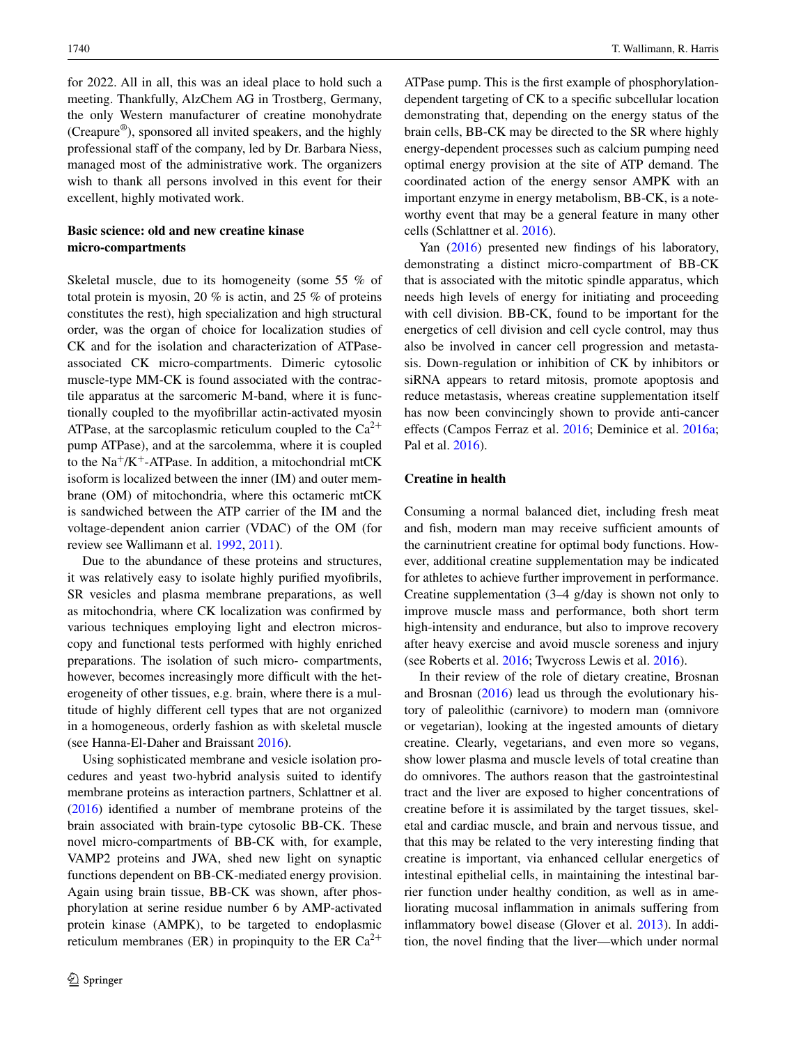for 2022. All in all, this was an ideal place to hold such a meeting. Thankfully, AlzChem AG in Trostberg, Germany, the only Western manufacturer of creatine monohydrate (Creapure®), sponsored all invited speakers, and the highly professional staff of the company, led by Dr. Barbara Niess, managed most of the administrative work. The organizers wish to thank all persons involved in this event for their excellent, highly motivated work.

## **Basic science: old and new creatine kinase micro‑compartments**

Skeletal muscle, due to its homogeneity (some 55 % of total protein is myosin, 20 % is actin, and 25 % of proteins constitutes the rest), high specialization and high structural order, was the organ of choice for localization studies of CK and for the isolation and characterization of ATPaseassociated CK micro-compartments. Dimeric cytosolic muscle-type MM-CK is found associated with the contractile apparatus at the sarcomeric M-band, where it is functionally coupled to the myofibrillar actin-activated myosin ATPase, at the sarcoplasmic reticulum coupled to the  $Ca^{2+}$ pump ATPase), and at the sarcolemma, where it is coupled to the  $Na^+/K^+$ -ATPase. In addition, a mitochondrial mtCK isoform is localized between the inner (IM) and outer membrane (OM) of mitochondria, where this octameric mtCK is sandwiched between the ATP carrier of the IM and the voltage-dependent anion carrier (VDAC) of the OM (for review see Wallimann et al. [1992](#page-11-0), [2011](#page-11-1)).

Due to the abundance of these proteins and structures, it was relatively easy to isolate highly purified myofibrils, SR vesicles and plasma membrane preparations, as well as mitochondria, where CK localization was confirmed by various techniques employing light and electron microscopy and functional tests performed with highly enriched preparations. The isolation of such micro- compartments, however, becomes increasingly more difficult with the heterogeneity of other tissues, e.g. brain, where there is a multitude of highly different cell types that are not organized in a homogeneous, orderly fashion as with skeletal muscle (see Hanna-El-Daher and Braissant [2016\)](#page-10-0).

Using sophisticated membrane and vesicle isolation procedures and yeast two-hybrid analysis suited to identify membrane proteins as interaction partners, Schlattner et al. [\(2016](#page-11-2)) identified a number of membrane proteins of the brain associated with brain-type cytosolic BB-CK. These novel micro-compartments of BB-CK with, for example, VAMP2 proteins and JWA, shed new light on synaptic functions dependent on BB-CK-mediated energy provision. Again using brain tissue, BB-CK was shown, after phosphorylation at serine residue number 6 by AMP-activated protein kinase (AMPK), to be targeted to endoplasmic reticulum membranes (ER) in propinquity to the ER  $Ca^{2+}$ 

ATPase pump. This is the first example of phosphorylationdependent targeting of CK to a specific subcellular location demonstrating that, depending on the energy status of the brain cells, BB-CK may be directed to the SR where highly energy-dependent processes such as calcium pumping need optimal energy provision at the site of ATP demand. The coordinated action of the energy sensor AMPK with an important enzyme in energy metabolism, BB-CK, is a noteworthy event that may be a general feature in many other cells (Schlattner et al. [2016](#page-11-2)).

Yan [\(2016](#page-11-3)) presented new findings of his laboratory, demonstrating a distinct micro-compartment of BB-CK that is associated with the mitotic spindle apparatus, which needs high levels of energy for initiating and proceeding with cell division. BB-CK, found to be important for the energetics of cell division and cell cycle control, may thus also be involved in cancer cell progression and metastasis. Down-regulation or inhibition of CK by inhibitors or siRNA appears to retard mitosis, promote apoptosis and reduce metastasis, whereas creatine supplementation itself has now been convincingly shown to provide anti-cancer effects (Campos Ferraz et al. [2016](#page-9-0); Deminice et al. [2016a](#page-9-1); Pal et al. [2016](#page-10-1)).

#### **Creatine in health**

Consuming a normal balanced diet, including fresh meat and fish, modern man may receive sufficient amounts of the carninutrient creatine for optimal body functions. However, additional creatine supplementation may be indicated for athletes to achieve further improvement in performance. Creatine supplementation (3–4 g/day is shown not only to improve muscle mass and performance, both short term high-intensity and endurance, but also to improve recovery after heavy exercise and avoid muscle soreness and injury (see Roberts et al. [2016](#page-11-4); Twycross Lewis et al. [2016\)](#page-11-5).

In their review of the role of dietary creatine, Brosnan and Brosnan ([2016\)](#page-9-2) lead us through the evolutionary history of paleolithic (carnivore) to modern man (omnivore or vegetarian), looking at the ingested amounts of dietary creatine. Clearly, vegetarians, and even more so vegans, show lower plasma and muscle levels of total creatine than do omnivores. The authors reason that the gastrointestinal tract and the liver are exposed to higher concentrations of creatine before it is assimilated by the target tissues, skeletal and cardiac muscle, and brain and nervous tissue, and that this may be related to the very interesting finding that creatine is important, via enhanced cellular energetics of intestinal epithelial cells, in maintaining the intestinal barrier function under healthy condition, as well as in ameliorating mucosal inflammation in animals suffering from inflammatory bowel disease (Glover et al. [2013](#page-10-2)). In addition, the novel finding that the liver—which under normal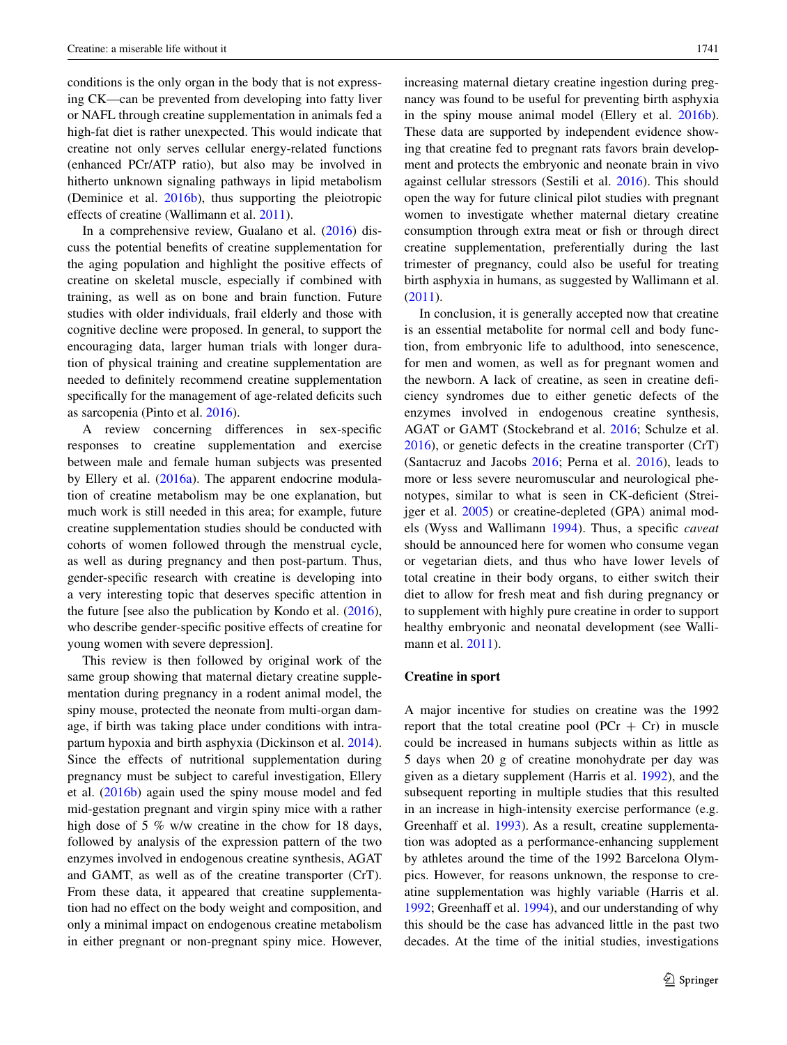conditions is the only organ in the body that is not expressing CK—can be prevented from developing into fatty liver or NAFL through creatine supplementation in animals fed a high-fat diet is rather unexpected. This would indicate that creatine not only serves cellular energy-related functions (enhanced PCr/ATP ratio), but also may be involved in hitherto unknown signaling pathways in lipid metabolism (Deminice et al. [2016b](#page-9-3)), thus supporting the pleiotropic effects of creatine (Wallimann et al. [2011](#page-11-1)).

In a comprehensive review, Gualano et al. ([2016\)](#page-10-3) discuss the potential benefits of creatine supplementation for the aging population and highlight the positive effects of creatine on skeletal muscle, especially if combined with training, as well as on bone and brain function. Future studies with older individuals, frail elderly and those with cognitive decline were proposed. In general, to support the encouraging data, larger human trials with longer duration of physical training and creatine supplementation are needed to definitely recommend creatine supplementation specifically for the management of age-related deficits such as sarcopenia (Pinto et al. [2016](#page-11-6)).

A review concerning differences in sex-specific responses to creatine supplementation and exercise between male and female human subjects was presented by Ellery et al. [\(2016a](#page-10-4)). The apparent endocrine modulation of creatine metabolism may be one explanation, but much work is still needed in this area; for example, future creatine supplementation studies should be conducted with cohorts of women followed through the menstrual cycle, as well as during pregnancy and then post-partum. Thus, gender-specific research with creatine is developing into a very interesting topic that deserves specific attention in the future [see also the publication by Kondo et al.  $(2016)$  $(2016)$ , who describe gender-specific positive effects of creatine for young women with severe depression].

This review is then followed by original work of the same group showing that maternal dietary creatine supplementation during pregnancy in a rodent animal model, the spiny mouse, protected the neonate from multi-organ damage, if birth was taking place under conditions with intrapartum hypoxia and birth asphyxia (Dickinson et al. [2014](#page-9-4)). Since the effects of nutritional supplementation during pregnancy must be subject to careful investigation, Ellery et al. ([2016b\)](#page-10-6) again used the spiny mouse model and fed mid-gestation pregnant and virgin spiny mice with a rather high dose of 5 % w/w creatine in the chow for 18 days, followed by analysis of the expression pattern of the two enzymes involved in endogenous creatine synthesis, AGAT and GAMT, as well as of the creatine transporter (CrT). From these data, it appeared that creatine supplementation had no effect on the body weight and composition, and only a minimal impact on endogenous creatine metabolism in either pregnant or non-pregnant spiny mice. However, increasing maternal dietary creatine ingestion during pregnancy was found to be useful for preventing birth asphyxia in the spiny mouse animal model (Ellery et al. [2016b](#page-10-6)). These data are supported by independent evidence showing that creatine fed to pregnant rats favors brain development and protects the embryonic and neonate brain in vivo against cellular stressors (Sestili et al. [2016\)](#page-11-7). This should open the way for future clinical pilot studies with pregnant women to investigate whether maternal dietary creatine consumption through extra meat or fish or through direct creatine supplementation, preferentially during the last trimester of pregnancy, could also be useful for treating birth asphyxia in humans, as suggested by Wallimann et al. [\(2011](#page-11-1)).

In conclusion, it is generally accepted now that creatine is an essential metabolite for normal cell and body function, from embryonic life to adulthood, into senescence, for men and women, as well as for pregnant women and the newborn. A lack of creatine, as seen in creatine deficiency syndromes due to either genetic defects of the enzymes involved in endogenous creatine synthesis, AGAT or GAMT (Stockebrand et al. [2016](#page-11-8); Schulze et al. [2016](#page-11-9)), or genetic defects in the creatine transporter (CrT) (Santacruz and Jacobs [2016;](#page-11-10) Perna et al. [2016\)](#page-10-7), leads to more or less severe neuromuscular and neurological phenotypes, similar to what is seen in CK-deficient (Streijger et al. [2005](#page-11-11)) or creatine-depleted (GPA) animal models (Wyss and Wallimann [1994\)](#page-11-12). Thus, a specific *caveat* should be announced here for women who consume vegan or vegetarian diets, and thus who have lower levels of total creatine in their body organs, to either switch their diet to allow for fresh meat and fish during pregnancy or to supplement with highly pure creatine in order to support healthy embryonic and neonatal development (see Walli-mann et al. [2011\)](#page-11-1).

#### **Creatine in sport**

A major incentive for studies on creatine was the 1992 report that the total creatine pool ( $PCr + Cr$ ) in muscle could be increased in humans subjects within as little as 5 days when 20 g of creatine monohydrate per day was given as a dietary supplement (Harris et al. [1992](#page-10-8)), and the subsequent reporting in multiple studies that this resulted in an increase in high-intensity exercise performance (e.g. Greenhaff et al. [1993\)](#page-10-9). As a result, creatine supplementation was adopted as a performance-enhancing supplement by athletes around the time of the 1992 Barcelona Olympics. However, for reasons unknown, the response to creatine supplementation was highly variable (Harris et al. [1992](#page-10-8); Greenhaff et al. [1994](#page-10-10)), and our understanding of why this should be the case has advanced little in the past two decades. At the time of the initial studies, investigations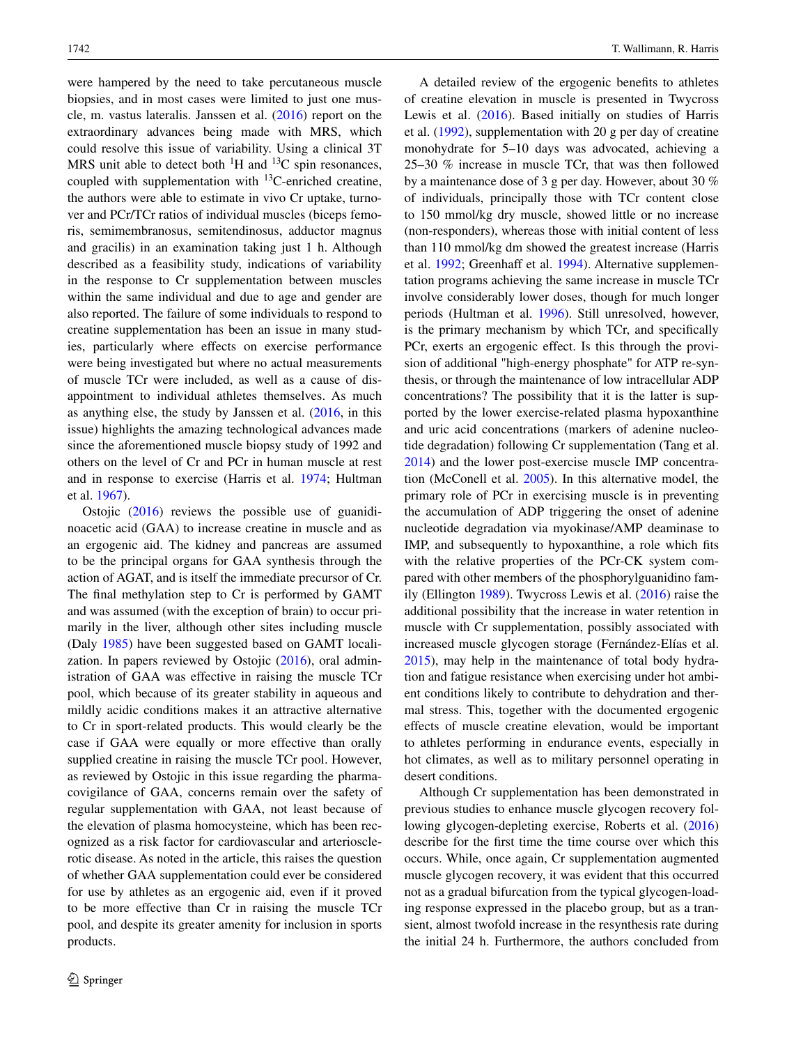were hampered by the need to take percutaneous muscle biopsies, and in most cases were limited to just one muscle, m. vastus lateralis. Janssen et al. [\(2016](#page-10-11)) report on the extraordinary advances being made with MRS, which could resolve this issue of variability. Using a clinical 3T MRS unit able to detect both  ${}^{1}H$  and  ${}^{13}C$  spin resonances, coupled with supplementation with  $^{13}$ C-enriched creatine, the authors were able to estimate in vivo Cr uptake, turnover and PCr/TCr ratios of individual muscles (biceps femoris, semimembranosus, semitendinosus, adductor magnus and gracilis) in an examination taking just 1 h. Although described as a feasibility study, indications of variability in the response to Cr supplementation between muscles within the same individual and due to age and gender are also reported. The failure of some individuals to respond to creatine supplementation has been an issue in many studies, particularly where effects on exercise performance were being investigated but where no actual measurements of muscle TCr were included, as well as a cause of disappointment to individual athletes themselves. As much as anything else, the study by Janssen et al. ([2016,](#page-10-11) in this issue) highlights the amazing technological advances made since the aforementioned muscle biopsy study of 1992 and others on the level of Cr and PCr in human muscle at rest and in response to exercise (Harris et al. [1974](#page-10-12); Hultman et al. [1967\)](#page-10-13).

Ostojic [\(2016](#page-10-14)) reviews the possible use of guanidinoacetic acid (GAA) to increase creatine in muscle and as an ergogenic aid. The kidney and pancreas are assumed to be the principal organs for GAA synthesis through the action of AGAT, and is itself the immediate precursor of Cr. The final methylation step to Cr is performed by GAMT and was assumed (with the exception of brain) to occur primarily in the liver, although other sites including muscle (Daly [1985](#page-9-5)) have been suggested based on GAMT localization. In papers reviewed by Ostojic [\(2016](#page-10-14)), oral administration of GAA was effective in raising the muscle TCr pool, which because of its greater stability in aqueous and mildly acidic conditions makes it an attractive alternative to Cr in sport-related products. This would clearly be the case if GAA were equally or more effective than orally supplied creatine in raising the muscle TCr pool. However, as reviewed by Ostojic in this issue regarding the pharmacovigilance of GAA, concerns remain over the safety of regular supplementation with GAA, not least because of the elevation of plasma homocysteine, which has been recognized as a risk factor for cardiovascular and arteriosclerotic disease. As noted in the article, this raises the question of whether GAA supplementation could ever be considered for use by athletes as an ergogenic aid, even if it proved to be more effective than Cr in raising the muscle TCr pool, and despite its greater amenity for inclusion in sports products.

A detailed review of the ergogenic benefits to athletes of creatine elevation in muscle is presented in Twycross Lewis et al. [\(2016](#page-11-5)). Based initially on studies of Harris et al. ([1992\)](#page-10-8), supplementation with 20 g per day of creatine monohydrate for 5–10 days was advocated, achieving a 25–30 % increase in muscle TCr, that was then followed by a maintenance dose of 3 g per day. However, about 30 % of individuals, principally those with TCr content close to 150 mmol/kg dry muscle, showed little or no increase (non-responders), whereas those with initial content of less than 110 mmol/kg dm showed the greatest increase (Harris et al. [1992](#page-10-8); Greenhaff et al. [1994\)](#page-10-10). Alternative supplementation programs achieving the same increase in muscle TCr involve considerably lower doses, though for much longer periods (Hultman et al. [1996](#page-10-15)). Still unresolved, however, is the primary mechanism by which TCr, and specifically PCr, exerts an ergogenic effect. Is this through the provision of additional "high-energy phosphate" for ATP re-synthesis, or through the maintenance of low intracellular ADP concentrations? The possibility that it is the latter is supported by the lower exercise-related plasma hypoxanthine and uric acid concentrations (markers of adenine nucleotide degradation) following Cr supplementation (Tang et al. [2014](#page-11-13)) and the lower post-exercise muscle IMP concentration (McConell et al. [2005](#page-10-16)). In this alternative model, the primary role of PCr in exercising muscle is in preventing the accumulation of ADP triggering the onset of adenine nucleotide degradation via myokinase/AMP deaminase to IMP, and subsequently to hypoxanthine, a role which fits with the relative properties of the PCr-CK system compared with other members of the phosphorylguanidino family (Ellington [1989\)](#page-10-17). Twycross Lewis et al. [\(2016](#page-11-5)) raise the additional possibility that the increase in water retention in muscle with Cr supplementation, possibly associated with increased muscle glycogen storage (Fernández-Elías et al. [2015](#page-10-18)), may help in the maintenance of total body hydration and fatigue resistance when exercising under hot ambient conditions likely to contribute to dehydration and thermal stress. This, together with the documented ergogenic effects of muscle creatine elevation, would be important to athletes performing in endurance events, especially in hot climates, as well as to military personnel operating in desert conditions.

Although Cr supplementation has been demonstrated in previous studies to enhance muscle glycogen recovery fol-lowing glycogen-depleting exercise, Roberts et al. ([2016\)](#page-11-4) describe for the first time the time course over which this occurs. While, once again, Cr supplementation augmented muscle glycogen recovery, it was evident that this occurred not as a gradual bifurcation from the typical glycogen-loading response expressed in the placebo group, but as a transient, almost twofold increase in the resynthesis rate during the initial 24 h. Furthermore, the authors concluded from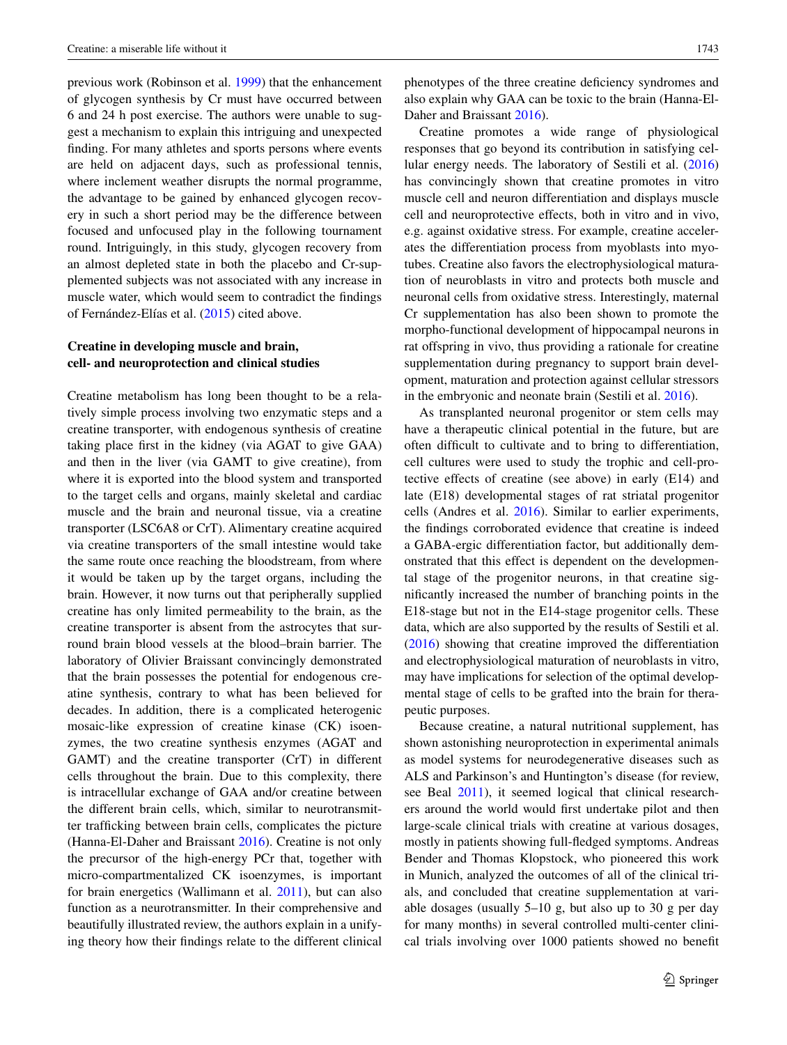previous work (Robinson et al. [1999\)](#page-11-14) that the enhancement of glycogen synthesis by Cr must have occurred between 6 and 24 h post exercise. The authors were unable to suggest a mechanism to explain this intriguing and unexpected finding. For many athletes and sports persons where events are held on adjacent days, such as professional tennis, where inclement weather disrupts the normal programme, the advantage to be gained by enhanced glycogen recovery in such a short period may be the difference between focused and unfocused play in the following tournament round. Intriguingly, in this study, glycogen recovery from an almost depleted state in both the placebo and Cr-supplemented subjects was not associated with any increase in muscle water, which would seem to contradict the findings of Fernández-Elías et al. ([2015\)](#page-10-18) cited above.

## **Creatine in developing muscle and brain, cell‑ and neuroprotection and clinical studies**

Creatine metabolism has long been thought to be a relatively simple process involving two enzymatic steps and a creatine transporter, with endogenous synthesis of creatine taking place first in the kidney (via AGAT to give GAA) and then in the liver (via GAMT to give creatine), from where it is exported into the blood system and transported to the target cells and organs, mainly skeletal and cardiac muscle and the brain and neuronal tissue, via a creatine transporter (LSC6A8 or CrT). Alimentary creatine acquired via creatine transporters of the small intestine would take the same route once reaching the bloodstream, from where it would be taken up by the target organs, including the brain. However, it now turns out that peripherally supplied creatine has only limited permeability to the brain, as the creatine transporter is absent from the astrocytes that surround brain blood vessels at the blood–brain barrier. The laboratory of Olivier Braissant convincingly demonstrated that the brain possesses the potential for endogenous creatine synthesis, contrary to what has been believed for decades. In addition, there is a complicated heterogenic mosaic-like expression of creatine kinase (CK) isoenzymes, the two creatine synthesis enzymes (AGAT and GAMT) and the creatine transporter (CrT) in different cells throughout the brain. Due to this complexity, there is intracellular exchange of GAA and/or creatine between the different brain cells, which, similar to neurotransmitter trafficking between brain cells, complicates the picture (Hanna-El-Daher and Braissant [2016\)](#page-10-0). Creatine is not only the precursor of the high-energy PCr that, together with micro-compartmentalized CK isoenzymes, is important for brain energetics (Wallimann et al. [2011\)](#page-11-1), but can also function as a neurotransmitter. In their comprehensive and beautifully illustrated review, the authors explain in a unifying theory how their findings relate to the different clinical

phenotypes of the three creatine deficiency syndromes and also explain why GAA can be toxic to the brain (Hanna-El-Daher and Braissant [2016\)](#page-10-0).

Creatine promotes a wide range of physiological responses that go beyond its contribution in satisfying cellular energy needs. The laboratory of Sestili et al. ([2016\)](#page-11-7) has convincingly shown that creatine promotes in vitro muscle cell and neuron differentiation and displays muscle cell and neuroprotective effects, both in vitro and in vivo, e.g. against oxidative stress. For example, creatine accelerates the differentiation process from myoblasts into myotubes. Creatine also favors the electrophysiological maturation of neuroblasts in vitro and protects both muscle and neuronal cells from oxidative stress. Interestingly, maternal Cr supplementation has also been shown to promote the morpho-functional development of hippocampal neurons in rat offspring in vivo, thus providing a rationale for creatine supplementation during pregnancy to support brain development, maturation and protection against cellular stressors in the embryonic and neonate brain (Sestili et al. [2016\)](#page-11-7).

As transplanted neuronal progenitor or stem cells may have a therapeutic clinical potential in the future, but are often difficult to cultivate and to bring to differentiation, cell cultures were used to study the trophic and cell-protective effects of creatine (see above) in early (E14) and late (E18) developmental stages of rat striatal progenitor cells (Andres et al. [2016](#page-9-6)). Similar to earlier experiments, the findings corroborated evidence that creatine is indeed a GABA-ergic differentiation factor, but additionally demonstrated that this effect is dependent on the developmental stage of the progenitor neurons, in that creatine significantly increased the number of branching points in the E18-stage but not in the E14-stage progenitor cells. These data, which are also supported by the results of Sestili et al. [\(2016](#page-11-7)) showing that creatine improved the differentiation and electrophysiological maturation of neuroblasts in vitro, may have implications for selection of the optimal developmental stage of cells to be grafted into the brain for therapeutic purposes.

Because creatine, a natural nutritional supplement, has shown astonishing neuroprotection in experimental animals as model systems for neurodegenerative diseases such as ALS and Parkinson's and Huntington's disease (for review, see Beal [2011\)](#page-9-7), it seemed logical that clinical researchers around the world would first undertake pilot and then large-scale clinical trials with creatine at various dosages, mostly in patients showing full-fledged symptoms. Andreas Bender and Thomas Klopstock, who pioneered this work in Munich, analyzed the outcomes of all of the clinical trials, and concluded that creatine supplementation at variable dosages (usually 5–10 g, but also up to 30 g per day for many months) in several controlled multi-center clinical trials involving over 1000 patients showed no benefit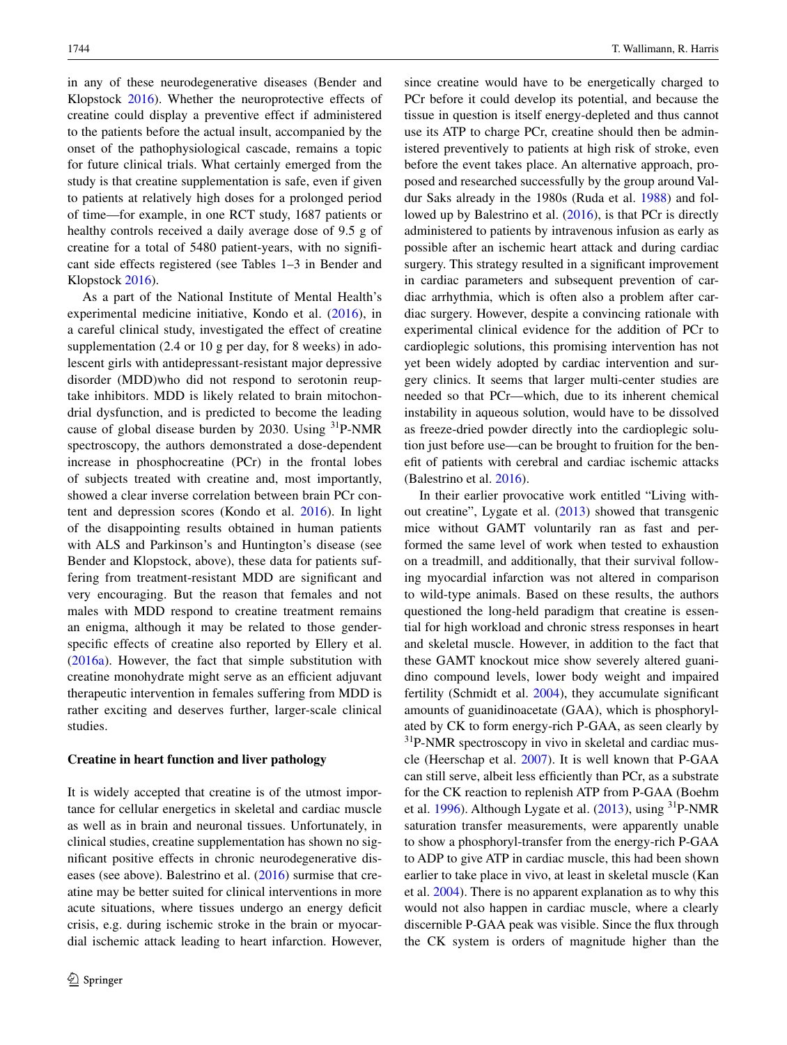in any of these neurodegenerative diseases (Bender and Klopstock [2016\)](#page-9-8). Whether the neuroprotective effects of creatine could display a preventive effect if administered to the patients before the actual insult, accompanied by the onset of the pathophysiological cascade, remains a topic for future clinical trials. What certainly emerged from the study is that creatine supplementation is safe, even if given to patients at relatively high doses for a prolonged period of time—for example, in one RCT study, 1687 patients or healthy controls received a daily average dose of 9.5 g of creatine for a total of 5480 patient-years, with no significant side effects registered (see Tables 1–3 in Bender and Klopstock [2016\)](#page-9-8).

As a part of the National Institute of Mental Health's experimental medicine initiative, Kondo et al. [\(2016](#page-10-5)), in a careful clinical study, investigated the effect of creatine supplementation (2.4 or 10 g per day, for 8 weeks) in adolescent girls with antidepressant-resistant major depressive disorder (MDD)who did not respond to serotonin reuptake inhibitors. MDD is likely related to brain mitochondrial dysfunction, and is predicted to become the leading cause of global disease burden by 2030. Using <sup>31</sup>P-NMR spectroscopy, the authors demonstrated a dose-dependent increase in phosphocreatine (PCr) in the frontal lobes of subjects treated with creatine and, most importantly, showed a clear inverse correlation between brain PCr content and depression scores (Kondo et al. [2016\)](#page-10-5). In light of the disappointing results obtained in human patients with ALS and Parkinson's and Huntington's disease (see Bender and Klopstock, above), these data for patients suffering from treatment-resistant MDD are significant and very encouraging. But the reason that females and not males with MDD respond to creatine treatment remains an enigma, although it may be related to those genderspecific effects of creatine also reported by Ellery et al. [\(2016a](#page-10-4)). However, the fact that simple substitution with creatine monohydrate might serve as an efficient adjuvant therapeutic intervention in females suffering from MDD is rather exciting and deserves further, larger-scale clinical studies.

#### **Creatine in heart function and liver pathology**

It is widely accepted that creatine is of the utmost importance for cellular energetics in skeletal and cardiac muscle as well as in brain and neuronal tissues. Unfortunately, in clinical studies, creatine supplementation has shown no significant positive effects in chronic neurodegenerative dis-eases (see above). Balestrino et al. ([2016\)](#page-9-9) surmise that creatine may be better suited for clinical interventions in more acute situations, where tissues undergo an energy deficit crisis, e.g. during ischemic stroke in the brain or myocardial ischemic attack leading to heart infarction. However,

since creatine would have to be energetically charged to PCr before it could develop its potential, and because the tissue in question is itself energy-depleted and thus cannot use its ATP to charge PCr, creatine should then be administered preventively to patients at high risk of stroke, even before the event takes place. An alternative approach, proposed and researched successfully by the group around Valdur Saks already in the 1980s (Ruda et al. [1988\)](#page-11-15) and followed up by Balestrino et al. [\(2016](#page-9-9)), is that PCr is directly administered to patients by intravenous infusion as early as possible after an ischemic heart attack and during cardiac surgery. This strategy resulted in a significant improvement in cardiac parameters and subsequent prevention of cardiac arrhythmia, which is often also a problem after cardiac surgery. However, despite a convincing rationale with experimental clinical evidence for the addition of PCr to cardioplegic solutions, this promising intervention has not yet been widely adopted by cardiac intervention and surgery clinics. It seems that larger multi-center studies are needed so that PCr—which, due to its inherent chemical instability in aqueous solution, would have to be dissolved as freeze-dried powder directly into the cardioplegic solution just before use—can be brought to fruition for the benefit of patients with cerebral and cardiac ischemic attacks (Balestrino et al. [2016](#page-9-9)).

In their earlier provocative work entitled "Living without creatine", Lygate et al. [\(2013](#page-10-19)) showed that transgenic mice without GAMT voluntarily ran as fast and performed the same level of work when tested to exhaustion on a treadmill, and additionally, that their survival following myocardial infarction was not altered in comparison to wild-type animals. Based on these results, the authors questioned the long-held paradigm that creatine is essential for high workload and chronic stress responses in heart and skeletal muscle. However, in addition to the fact that these GAMT knockout mice show severely altered guanidino compound levels, lower body weight and impaired fertility (Schmidt et al. [2004\)](#page-11-16), they accumulate significant amounts of guanidinoacetate (GAA), which is phosphorylated by CK to form energy-rich P-GAA, as seen clearly by <sup>31</sup>P-NMR spectroscopy in vivo in skeletal and cardiac muscle (Heerschap et al. [2007\)](#page-10-20). It is well known that P-GAA can still serve, albeit less efficiently than PCr, as a substrate for the CK reaction to replenish ATP from P-GAA (Boehm et al.  $1996$ ). Although Lygate et al.  $(2013)$  $(2013)$ , using <sup>31</sup>P-NMR saturation transfer measurements, were apparently unable to show a phosphoryl-transfer from the energy-rich P-GAA to ADP to give ATP in cardiac muscle, this had been shown earlier to take place in vivo, at least in skeletal muscle (Kan et al. [2004\)](#page-10-21). There is no apparent explanation as to why this would not also happen in cardiac muscle, where a clearly discernible P-GAA peak was visible. Since the flux through the CK system is orders of magnitude higher than the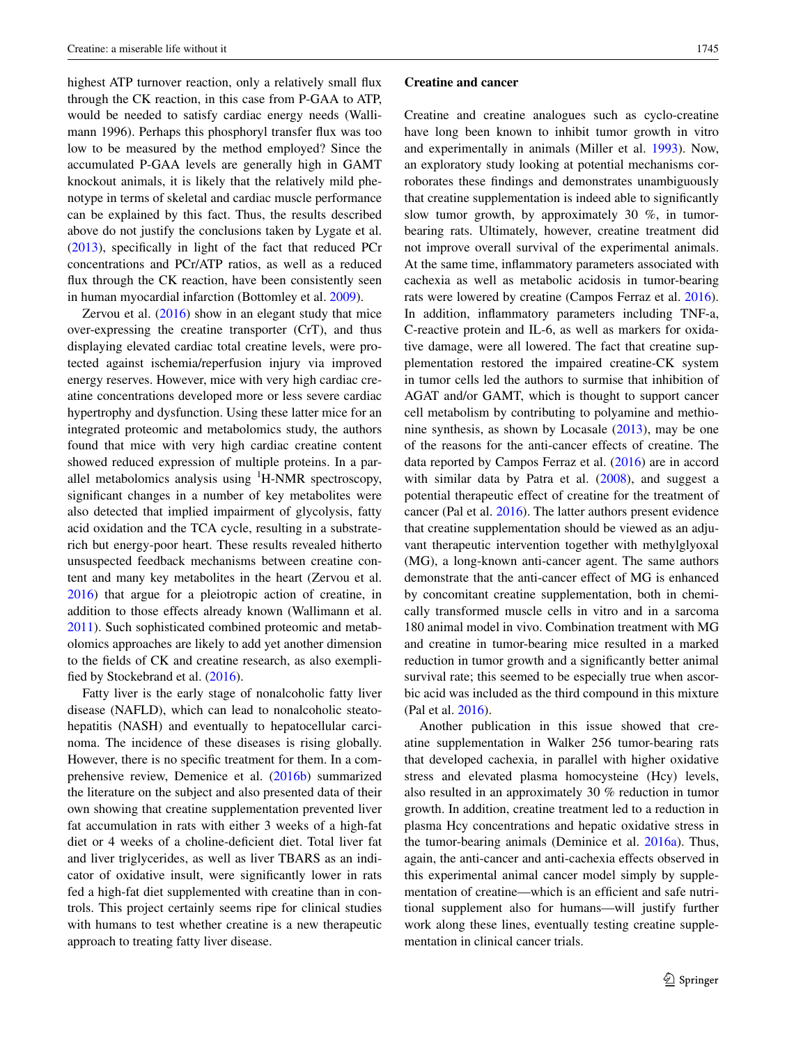highest ATP turnover reaction, only a relatively small flux through the CK reaction, in this case from P-GAA to ATP, would be needed to satisfy cardiac energy needs (Wallimann 1996). Perhaps this phosphoryl transfer flux was too low to be measured by the method employed? Since the accumulated P-GAA levels are generally high in GAMT knockout animals, it is likely that the relatively mild phenotype in terms of skeletal and cardiac muscle performance can be explained by this fact. Thus, the results described above do not justify the conclusions taken by Lygate et al. [\(2013](#page-10-19)), specifically in light of the fact that reduced PCr concentrations and PCr/ATP ratios, as well as a reduced flux through the CK reaction, have been consistently seen in human myocardial infarction (Bottomley et al. [2009\)](#page-9-11).

Zervou et al. ([2016\)](#page-11-17) show in an elegant study that mice over-expressing the creatine transporter (CrT), and thus displaying elevated cardiac total creatine levels, were protected against ischemia/reperfusion injury via improved energy reserves. However, mice with very high cardiac creatine concentrations developed more or less severe cardiac hypertrophy and dysfunction. Using these latter mice for an integrated proteomic and metabolomics study, the authors found that mice with very high cardiac creatine content showed reduced expression of multiple proteins. In a parallel metabolomics analysis using  ${}^{1}$ H-NMR spectroscopy, significant changes in a number of key metabolites were also detected that implied impairment of glycolysis, fatty acid oxidation and the TCA cycle, resulting in a substraterich but energy-poor heart. These results revealed hitherto unsuspected feedback mechanisms between creatine content and many key metabolites in the heart (Zervou et al. [2016](#page-11-17)) that argue for a pleiotropic action of creatine, in addition to those effects already known (Wallimann et al. [2011](#page-11-1)). Such sophisticated combined proteomic and metabolomics approaches are likely to add yet another dimension to the fields of CK and creatine research, as also exemplified by Stockebrand et al. ([2016\)](#page-11-8).

Fatty liver is the early stage of nonalcoholic fatty liver disease (NAFLD), which can lead to nonalcoholic steatohepatitis (NASH) and eventually to hepatocellular carcinoma. The incidence of these diseases is rising globally. However, there is no specific treatment for them. In a comprehensive review, Demenice et al. [\(2016b](#page-9-3)) summarized the literature on the subject and also presented data of their own showing that creatine supplementation prevented liver fat accumulation in rats with either 3 weeks of a high-fat diet or 4 weeks of a choline-deficient diet. Total liver fat and liver triglycerides, as well as liver TBARS as an indicator of oxidative insult, were significantly lower in rats fed a high-fat diet supplemented with creatine than in controls. This project certainly seems ripe for clinical studies with humans to test whether creatine is a new therapeutic approach to treating fatty liver disease.

#### **Creatine and cancer**

Creatine and creatine analogues such as cyclo-creatine have long been known to inhibit tumor growth in vitro and experimentally in animals (Miller et al. [1993](#page-10-22)). Now, an exploratory study looking at potential mechanisms corroborates these findings and demonstrates unambiguously that creatine supplementation is indeed able to significantly slow tumor growth, by approximately 30 %, in tumorbearing rats. Ultimately, however, creatine treatment did not improve overall survival of the experimental animals. At the same time, inflammatory parameters associated with cachexia as well as metabolic acidosis in tumor-bearing rats were lowered by creatine (Campos Ferraz et al. [2016](#page-9-0)). In addition, inflammatory parameters including TNF-a, C-reactive protein and IL-6, as well as markers for oxidative damage, were all lowered. The fact that creatine supplementation restored the impaired creatine-CK system in tumor cells led the authors to surmise that inhibition of AGAT and/or GAMT, which is thought to support cancer cell metabolism by contributing to polyamine and methionine synthesis, as shown by Locasale ([2013\)](#page-10-23), may be one of the reasons for the anti-cancer effects of creatine. The data reported by Campos Ferraz et al. [\(2016](#page-9-0)) are in accord with similar data by Patra et al. [\(2008](#page-10-24)), and suggest a potential therapeutic effect of creatine for the treatment of cancer (Pal et al. [2016\)](#page-10-1). The latter authors present evidence that creatine supplementation should be viewed as an adjuvant therapeutic intervention together with methylglyoxal (MG), a long-known anti-cancer agent. The same authors demonstrate that the anti-cancer effect of MG is enhanced by concomitant creatine supplementation, both in chemically transformed muscle cells in vitro and in a sarcoma 180 animal model in vivo. Combination treatment with MG and creatine in tumor-bearing mice resulted in a marked reduction in tumor growth and a significantly better animal survival rate; this seemed to be especially true when ascorbic acid was included as the third compound in this mixture (Pal et al. [2016\)](#page-10-1).

Another publication in this issue showed that creatine supplementation in Walker 256 tumor-bearing rats that developed cachexia, in parallel with higher oxidative stress and elevated plasma homocysteine (Hcy) levels, also resulted in an approximately 30 % reduction in tumor growth. In addition, creatine treatment led to a reduction in plasma Hcy concentrations and hepatic oxidative stress in the tumor-bearing animals (Deminice et al. [2016a](#page-9-1)). Thus, again, the anti-cancer and anti-cachexia effects observed in this experimental animal cancer model simply by supplementation of creatine—which is an efficient and safe nutritional supplement also for humans—will justify further work along these lines, eventually testing creatine supplementation in clinical cancer trials.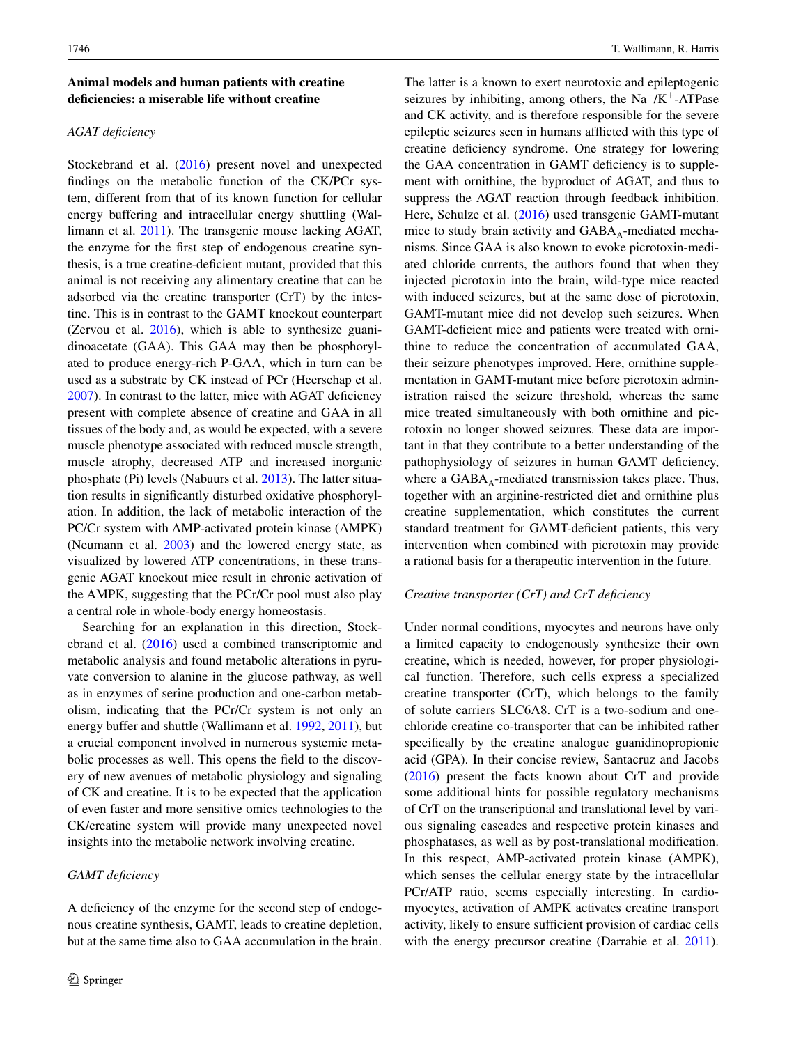## **Animal models and human patients with creatine deficiencies: a miserable life without creatine**

## *AGAT deficiency*

Stockebrand et al. ([2016\)](#page-11-8) present novel and unexpected findings on the metabolic function of the CK/PCr system, different from that of its known function for cellular energy buffering and intracellular energy shuttling (Wallimann et al. [2011](#page-11-1)). The transgenic mouse lacking AGAT, the enzyme for the first step of endogenous creatine synthesis, is a true creatine-deficient mutant, provided that this animal is not receiving any alimentary creatine that can be adsorbed via the creatine transporter (CrT) by the intestine. This is in contrast to the GAMT knockout counterpart (Zervou et al. [2016](#page-11-17)), which is able to synthesize guanidinoacetate (GAA). This GAA may then be phosphorylated to produce energy-rich P-GAA, which in turn can be used as a substrate by CK instead of PCr (Heerschap et al. [2007](#page-10-20)). In contrast to the latter, mice with AGAT deficiency present with complete absence of creatine and GAA in all tissues of the body and, as would be expected, with a severe muscle phenotype associated with reduced muscle strength, muscle atrophy, decreased ATP and increased inorganic phosphate (Pi) levels (Nabuurs et al. [2013\)](#page-10-25). The latter situation results in significantly disturbed oxidative phosphorylation. In addition, the lack of metabolic interaction of the PC/Cr system with AMP-activated protein kinase (AMPK) (Neumann et al. [2003\)](#page-10-26) and the lowered energy state, as visualized by lowered ATP concentrations, in these transgenic AGAT knockout mice result in chronic activation of the AMPK, suggesting that the PCr/Cr pool must also play a central role in whole-body energy homeostasis.

Searching for an explanation in this direction, Stockebrand et al. ([2016\)](#page-11-8) used a combined transcriptomic and metabolic analysis and found metabolic alterations in pyruvate conversion to alanine in the glucose pathway, as well as in enzymes of serine production and one-carbon metabolism, indicating that the PCr/Cr system is not only an energy buffer and shuttle (Wallimann et al. [1992,](#page-11-0) [2011](#page-11-1)), but a crucial component involved in numerous systemic metabolic processes as well. This opens the field to the discovery of new avenues of metabolic physiology and signaling of CK and creatine. It is to be expected that the application of even faster and more sensitive omics technologies to the CK/creatine system will provide many unexpected novel insights into the metabolic network involving creatine.

#### *GAMT deficiency*

A deficiency of the enzyme for the second step of endogenous creatine synthesis, GAMT, leads to creatine depletion, but at the same time also to GAA accumulation in the brain.

The latter is a known to exert neurotoxic and epileptogenic seizures by inhibiting, among others, the  $Na^+/K^+$ -ATPase and CK activity, and is therefore responsible for the severe epileptic seizures seen in humans afflicted with this type of creatine deficiency syndrome. One strategy for lowering the GAA concentration in GAMT deficiency is to supplement with ornithine, the byproduct of AGAT, and thus to suppress the AGAT reaction through feedback inhibition. Here, Schulze et al. [\(2016](#page-11-9)) used transgenic GAMT-mutant mice to study brain activity and  $GABA_A$ -mediated mechanisms. Since GAA is also known to evoke picrotoxin-mediated chloride currents, the authors found that when they injected picrotoxin into the brain, wild-type mice reacted with induced seizures, but at the same dose of picrotoxin, GAMT-mutant mice did not develop such seizures. When GAMT-deficient mice and patients were treated with ornithine to reduce the concentration of accumulated GAA, their seizure phenotypes improved. Here, ornithine supplementation in GAMT-mutant mice before picrotoxin administration raised the seizure threshold, whereas the same mice treated simultaneously with both ornithine and picrotoxin no longer showed seizures. These data are important in that they contribute to a better understanding of the pathophysiology of seizures in human GAMT deficiency, where a  $GABA_A$ -mediated transmission takes place. Thus, together with an arginine-restricted diet and ornithine plus creatine supplementation, which constitutes the current standard treatment for GAMT-deficient patients, this very intervention when combined with picrotoxin may provide a rational basis for a therapeutic intervention in the future.

#### *Creatine transporter (CrT) and CrT deficiency*

Under normal conditions, myocytes and neurons have only a limited capacity to endogenously synthesize their own creatine, which is needed, however, for proper physiological function. Therefore, such cells express a specialized creatine transporter (CrT), which belongs to the family of solute carriers SLC6A8. CrT is a two-sodium and onechloride creatine co-transporter that can be inhibited rather specifically by the creatine analogue guanidinopropionic acid (GPA). In their concise review, Santacruz and Jacobs [\(2016](#page-11-10)) present the facts known about CrT and provide some additional hints for possible regulatory mechanisms of CrT on the transcriptional and translational level by various signaling cascades and respective protein kinases and phosphatases, as well as by post-translational modification. In this respect, AMP-activated protein kinase (AMPK), which senses the cellular energy state by the intracellular PCr/ATP ratio, seems especially interesting. In cardiomyocytes, activation of AMPK activates creatine transport activity, likely to ensure sufficient provision of cardiac cells with the energy precursor creatine (Darrabie et al. [2011](#page-9-12)).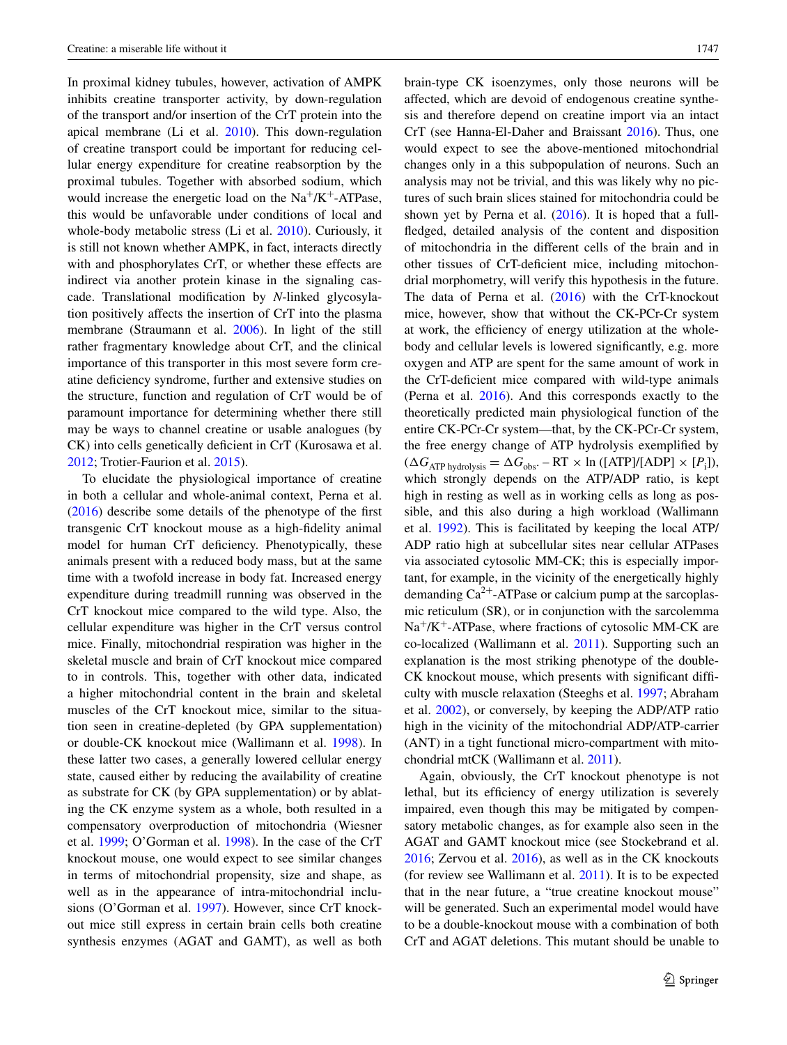In proximal kidney tubules, however, activation of AMPK inhibits creatine transporter activity, by down-regulation of the transport and/or insertion of the CrT protein into the apical membrane (Li et al. [2010](#page-10-27)). This down-regulation of creatine transport could be important for reducing cellular energy expenditure for creatine reabsorption by the proximal tubules. Together with absorbed sodium, which would increase the energetic load on the  $Na^+/K^+$ -ATPase, this would be unfavorable under conditions of local and whole-body metabolic stress (Li et al. [2010\)](#page-10-27). Curiously, it is still not known whether AMPK, in fact, interacts directly with and phosphorylates CrT, or whether these effects are indirect via another protein kinase in the signaling cascade. Translational modification by *N*-linked glycosylation positively affects the insertion of CrT into the plasma membrane (Straumann et al. [2006](#page-11-18)). In light of the still rather fragmentary knowledge about CrT, and the clinical importance of this transporter in this most severe form creatine deficiency syndrome, further and extensive studies on the structure, function and regulation of CrT would be of paramount importance for determining whether there still may be ways to channel creatine or usable analogues (by CK) into cells genetically deficient in CrT (Kurosawa et al. [2012](#page-10-28); Trotier-Faurion et al. [2015](#page-11-19)).

To elucidate the physiological importance of creatine in both a cellular and whole-animal context, Perna et al. [\(2016](#page-10-7)) describe some details of the phenotype of the first transgenic CrT knockout mouse as a high-fidelity animal model for human CrT deficiency. Phenotypically, these animals present with a reduced body mass, but at the same time with a twofold increase in body fat. Increased energy expenditure during treadmill running was observed in the CrT knockout mice compared to the wild type. Also, the cellular expenditure was higher in the CrT versus control mice. Finally, mitochondrial respiration was higher in the skeletal muscle and brain of CrT knockout mice compared to in controls. This, together with other data, indicated a higher mitochondrial content in the brain and skeletal muscles of the CrT knockout mice, similar to the situation seen in creatine-depleted (by GPA supplementation) or double-CK knockout mice (Wallimann et al. [1998](#page-11-20)). In these latter two cases, a generally lowered cellular energy state, caused either by reducing the availability of creatine as substrate for CK (by GPA supplementation) or by ablating the CK enzyme system as a whole, both resulted in a compensatory overproduction of mitochondria (Wiesner et al. [1999](#page-11-21); O'Gorman et al. [1998\)](#page-10-29). In the case of the CrT knockout mouse, one would expect to see similar changes in terms of mitochondrial propensity, size and shape, as well as in the appearance of intra-mitochondrial inclusions (O'Gorman et al. [1997\)](#page-10-30). However, since CrT knockout mice still express in certain brain cells both creatine synthesis enzymes (AGAT and GAMT), as well as both brain-type CK isoenzymes, only those neurons will be affected, which are devoid of endogenous creatine synthesis and therefore depend on creatine import via an intact CrT (see Hanna-El-Daher and Braissant [2016](#page-10-0)). Thus, one would expect to see the above-mentioned mitochondrial changes only in a this subpopulation of neurons. Such an analysis may not be trivial, and this was likely why no pictures of such brain slices stained for mitochondria could be shown yet by Perna et al.  $(2016)$  $(2016)$ . It is hoped that a fullfledged, detailed analysis of the content and disposition of mitochondria in the different cells of the brain and in other tissues of CrT-deficient mice, including mitochondrial morphometry, will verify this hypothesis in the future. The data of Perna et al. [\(2016](#page-10-7)) with the CrT-knockout mice, however, show that without the CK-PCr-Cr system at work, the efficiency of energy utilization at the wholebody and cellular levels is lowered significantly, e.g. more oxygen and ATP are spent for the same amount of work in the CrT-deficient mice compared with wild-type animals (Perna et al. [2016\)](#page-10-7). And this corresponds exactly to the theoretically predicted main physiological function of the entire CK-PCr-Cr system—that, by the CK-PCr-Cr system, the free energy change of ATP hydrolysis exemplified by  $(\Delta G_{ATP \; hydrolysis} = \Delta G_{obs} - RT \times \ln ([ATP]/[ADP] \times [P_i]),$ which strongly depends on the ATP/ADP ratio, is kept high in resting as well as in working cells as long as possible, and this also during a high workload (Wallimann et al. [1992\)](#page-11-0). This is facilitated by keeping the local ATP/ ADP ratio high at subcellular sites near cellular ATPases via associated cytosolic MM-CK; this is especially important, for example, in the vicinity of the energetically highly demanding  $Ca^{2+}$ -ATPase or calcium pump at the sarcoplasmic reticulum (SR), or in conjunction with the sarcolemma  $Na^+/K^+$ -ATPase, where fractions of cytosolic MM-CK are co-localized (Wallimann et al. [2011\)](#page-11-1). Supporting such an explanation is the most striking phenotype of the double-CK knockout mouse, which presents with significant difficulty with muscle relaxation (Steeghs et al. [1997](#page-11-22); Abraham et al. [2002\)](#page-9-13), or conversely, by keeping the ADP/ATP ratio high in the vicinity of the mitochondrial ADP/ATP-carrier (ANT) in a tight functional micro-compartment with mitochondrial mtCK (Wallimann et al. [2011\)](#page-11-1).

Again, obviously, the CrT knockout phenotype is not lethal, but its efficiency of energy utilization is severely impaired, even though this may be mitigated by compensatory metabolic changes, as for example also seen in the AGAT and GAMT knockout mice (see Stockebrand et al. [2016](#page-11-8); Zervou et al. [2016](#page-11-17)), as well as in the CK knockouts (for review see Wallimann et al. [2011](#page-11-1)). It is to be expected that in the near future, a "true creatine knockout mouse" will be generated. Such an experimental model would have to be a double-knockout mouse with a combination of both CrT and AGAT deletions. This mutant should be unable to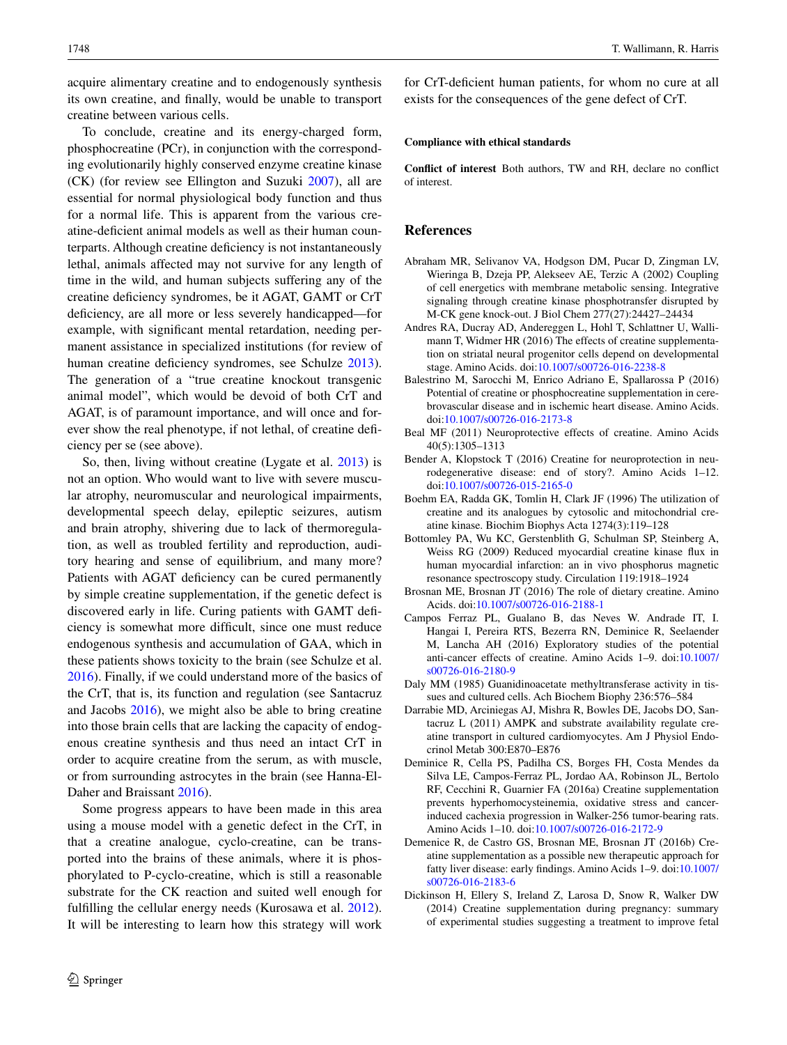acquire alimentary creatine and to endogenously synthesis its own creatine, and finally, would be unable to transport creatine between various cells.

To conclude, creatine and its energy-charged form, phosphocreatine (PCr), in conjunction with the corresponding evolutionarily highly conserved enzyme creatine kinase (CK) (for review see Ellington and Suzuki [2007](#page-10-31)), all are essential for normal physiological body function and thus for a normal life. This is apparent from the various creatine-deficient animal models as well as their human counterparts. Although creatine deficiency is not instantaneously lethal, animals affected may not survive for any length of time in the wild, and human subjects suffering any of the creatine deficiency syndromes, be it AGAT, GAMT or CrT deficiency, are all more or less severely handicapped—for example, with significant mental retardation, needing permanent assistance in specialized institutions (for review of human creatine deficiency syndromes, see Schulze [2013](#page-11-23)). The generation of a "true creatine knockout transgenic animal model", which would be devoid of both CrT and AGAT, is of paramount importance, and will once and forever show the real phenotype, if not lethal, of creatine deficiency per se (see above).

So, then, living without creatine (Lygate et al. [2013\)](#page-10-19) is not an option. Who would want to live with severe muscular atrophy, neuromuscular and neurological impairments, developmental speech delay, epileptic seizures, autism and brain atrophy, shivering due to lack of thermoregulation, as well as troubled fertility and reproduction, auditory hearing and sense of equilibrium, and many more? Patients with AGAT deficiency can be cured permanently by simple creatine supplementation, if the genetic defect is discovered early in life. Curing patients with GAMT deficiency is somewhat more difficult, since one must reduce endogenous synthesis and accumulation of GAA, which in these patients shows toxicity to the brain (see Schulze et al. [2016](#page-11-9)). Finally, if we could understand more of the basics of the CrT, that is, its function and regulation (see Santacruz and Jacobs [2016\)](#page-11-10), we might also be able to bring creatine into those brain cells that are lacking the capacity of endogenous creatine synthesis and thus need an intact CrT in order to acquire creatine from the serum, as with muscle, or from surrounding astrocytes in the brain (see Hanna-El-Daher and Braissant [2016\)](#page-10-0).

Some progress appears to have been made in this area using a mouse model with a genetic defect in the CrT, in that a creatine analogue, cyclo-creatine, can be transported into the brains of these animals, where it is phosphorylated to P-cyclo-creatine, which is still a reasonable substrate for the CK reaction and suited well enough for fulfilling the cellular energy needs (Kurosawa et al. [2012](#page-10-28)). It will be interesting to learn how this strategy will work for CrT-deficient human patients, for whom no cure at all exists for the consequences of the gene defect of CrT.

#### **Compliance with ethical standards**

**Conflict of interest** Both authors, TW and RH, declare no conflict of interest.

## **References**

- <span id="page-9-13"></span>Abraham MR, Selivanov VA, Hodgson DM, Pucar D, Zingman LV, Wieringa B, Dzeja PP, Alekseev AE, Terzic A (2002) Coupling of cell energetics with membrane metabolic sensing. Integrative signaling through creatine kinase phosphotransfer disrupted by M-CK gene knock-out. J Biol Chem 277(27):24427–24434
- <span id="page-9-6"></span>Andres RA, Ducray AD, Andereggen L, Hohl T, Schlattner U, Wallimann T, Widmer HR (2016) The effects of creatine supplementation on striatal neural progenitor cells depend on developmental stage. Amino Acids. doi:[10.1007/s00726-016-2238-8](http://dx.doi.org/10.1007/s00726-016-2238-8)
- <span id="page-9-9"></span>Balestrino M, Sarocchi M, Enrico Adriano E, Spallarossa P (2016) Potential of creatine or phosphocreatine supplementation in cerebrovascular disease and in ischemic heart disease. Amino Acids. doi[:10.1007/s00726-016-2173-8](http://dx.doi.org/10.1007/s00726-016-2173-8)
- <span id="page-9-7"></span>Beal MF (2011) Neuroprotective effects of creatine. Amino Acids 40(5):1305–1313
- <span id="page-9-8"></span>Bender A, Klopstock T (2016) Creatine for neuroprotection in neurodegenerative disease: end of story?. Amino Acids 1–12. doi[:10.1007/s00726-015-2165-0](http://dx.doi.org/10.1007/s00726-015-2165-0)
- <span id="page-9-10"></span>Boehm EA, Radda GK, Tomlin H, Clark JF (1996) The utilization of creatine and its analogues by cytosolic and mitochondrial creatine kinase. Biochim Biophys Acta 1274(3):119–128
- <span id="page-9-11"></span>Bottomley PA, Wu KC, Gerstenblith G, Schulman SP, Steinberg A, Weiss RG (2009) Reduced myocardial creatine kinase flux in human myocardial infarction: an in vivo phosphorus magnetic resonance spectroscopy study. Circulation 119:1918–1924
- <span id="page-9-2"></span>Brosnan ME, Brosnan JT (2016) The role of dietary creatine. Amino Acids. doi[:10.1007/s00726-016-2188-1](http://dx.doi.org/10.1007/s00726-016-2188-1)
- <span id="page-9-0"></span>Campos Ferraz PL, Gualano B, das Neves W. Andrade IT, I. Hangai I, Pereira RTS, Bezerra RN, Deminice R, Seelaender M, Lancha AH (2016) Exploratory studies of the potential anti-cancer effects of creatine. Amino Acids 1–9. doi[:10.1007/](http://dx.doi.org/10.1007/s00726-016-2180-9) [s00726-016-2180-9](http://dx.doi.org/10.1007/s00726-016-2180-9)
- <span id="page-9-5"></span>Daly MM (1985) Guanidinoacetate methyltransferase activity in tissues and cultured cells. Ach Biochem Biophy 236:576–584
- <span id="page-9-12"></span>Darrabie MD, Arciniegas AJ, Mishra R, Bowles DE, Jacobs DO, Santacruz L (2011) AMPK and substrate availability regulate creatine transport in cultured cardiomyocytes. Am J Physiol Endocrinol Metab 300:E870–E876
- <span id="page-9-1"></span>Deminice R, Cella PS, Padilha CS, Borges FH, Costa Mendes da Silva LE, Campos-Ferraz PL, Jordao AA, Robinson JL, Bertolo RF, Cecchini R, Guarnier FA (2016a) Creatine supplementation prevents hyperhomocysteinemia, oxidative stress and cancerinduced cachexia progression in Walker-256 tumor-bearing rats. Amino Acids 1–10. doi:[10.1007/s00726-016-2172-9](http://dx.doi.org/10.1007/s00726-016-2172-9)
- <span id="page-9-3"></span>Demenice R, de Castro GS, Brosnan ME, Brosnan JT (2016b) Creatine supplementation as a possible new therapeutic approach for fatty liver disease: early findings. Amino Acids 1–9. doi[:10.1007/](http://dx.doi.org/10.1007/s00726-016-2183-6) [s00726-016-2183-6](http://dx.doi.org/10.1007/s00726-016-2183-6)
- <span id="page-9-4"></span>Dickinson H, Ellery S, Ireland Z, Larosa D, Snow R, Walker DW (2014) Creatine supplementation during pregnancy: summary of experimental studies suggesting a treatment to improve fetal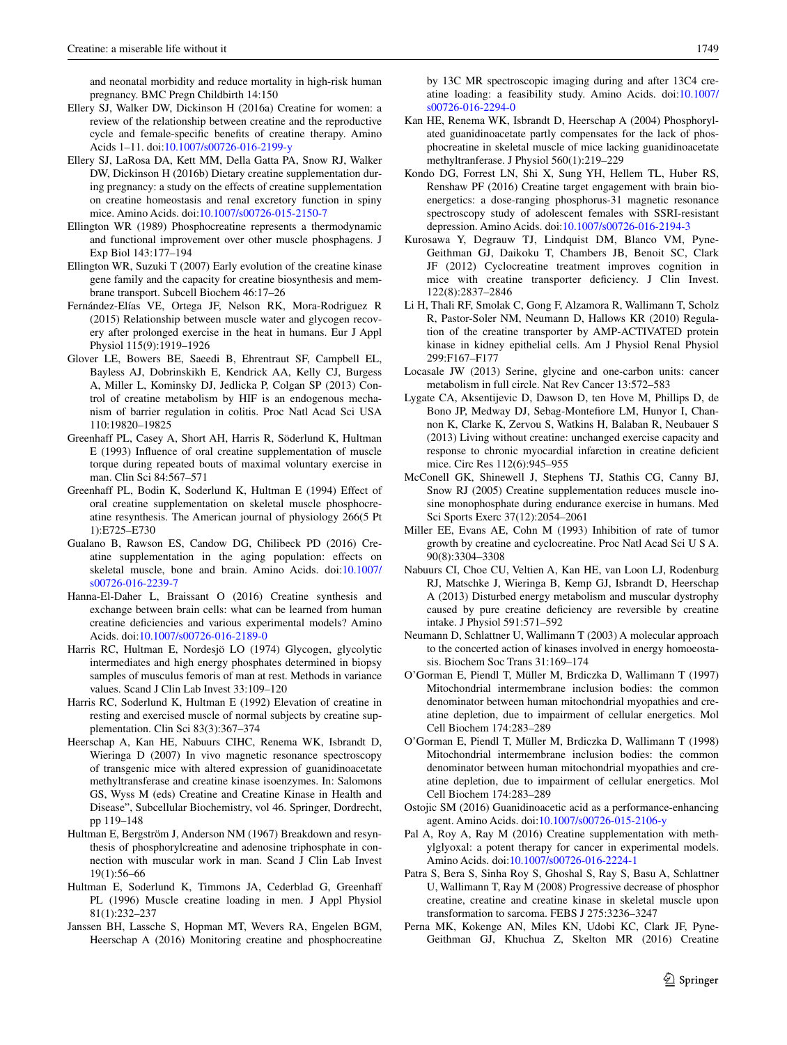and neonatal morbidity and reduce mortality in high-risk human pregnancy. BMC Pregn Childbirth 14:150

- <span id="page-10-4"></span>Ellery SJ, Walker DW, Dickinson H (2016a) Creatine for women: a review of the relationship between creatine and the reproductive cycle and female-specific benefits of creatine therapy. Amino Acids 1–11. doi[:10.1007/s00726-016-2199-y](http://dx.doi.org/10.1007/s00726-016-2199-y)
- <span id="page-10-6"></span>Ellery SJ, LaRosa DA, Kett MM, Della Gatta PA, Snow RJ, Walker DW, Dickinson H (2016b) Dietary creatine supplementation during pregnancy: a study on the effects of creatine supplementation on creatine homeostasis and renal excretory function in spiny mice. Amino Acids. doi:[10.1007/s00726-015-2150-7](http://dx.doi.org/10.1007/s00726-015-2150-7)
- <span id="page-10-17"></span>Ellington WR (1989) Phosphocreatine represents a thermodynamic and functional improvement over other muscle phosphagens. J Exp Biol 143:177–194
- <span id="page-10-31"></span>Ellington WR, Suzuki T (2007) Early evolution of the creatine kinase gene family and the capacity for creatine biosynthesis and membrane transport. Subcell Biochem 46:17–26
- <span id="page-10-18"></span>Fernández-Elías VE, Ortega JF, Nelson RK, Mora-Rodriguez R (2015) Relationship between muscle water and glycogen recovery after prolonged exercise in the heat in humans. Eur J Appl Physiol 115(9):1919–1926
- <span id="page-10-2"></span>Glover LE, Bowers BE, Saeedi B, Ehrentraut SF, Campbell EL, Bayless AJ, Dobrinskikh E, Kendrick AA, Kelly CJ, Burgess A, Miller L, Kominsky DJ, Jedlicka P, Colgan SP (2013) Control of creatine metabolism by HIF is an endogenous mechanism of barrier regulation in colitis. Proc Natl Acad Sci USA 110:19820–19825
- <span id="page-10-9"></span>Greenhaff PL, Casey A, Short AH, Harris R, Söderlund K, Hultman E (1993) Influence of oral creatine supplementation of muscle torque during repeated bouts of maximal voluntary exercise in man. Clin Sci 84:567–571
- <span id="page-10-10"></span>Greenhaff PL, Bodin K, Soderlund K, Hultman E (1994) Effect of oral creatine supplementation on skeletal muscle phosphocreatine resynthesis. The American journal of physiology 266(5 Pt 1):E725–E730
- <span id="page-10-3"></span>Gualano B, Rawson ES, Candow DG, Chilibeck PD (2016) Creatine supplementation in the aging population: effects on skeletal muscle, bone and brain. Amino Acids. doi[:10.1007/](http://dx.doi.org/10.1007/s00726-016-2239-7) [s00726-016-2239-7](http://dx.doi.org/10.1007/s00726-016-2239-7)
- <span id="page-10-0"></span>Hanna-El-Daher L, Braissant O (2016) Creatine synthesis and exchange between brain cells: what can be learned from human creatine deficiencies and various experimental models? Amino Acids. doi[:10.1007/s00726-016-2189-0](http://dx.doi.org/10.1007/s00726-016-2189-0)
- <span id="page-10-12"></span>Harris RC, Hultman E, Nordesjö LO (1974) Glycogen, glycolytic intermediates and high energy phosphates determined in biopsy samples of musculus femoris of man at rest. Methods in variance values. Scand J Clin Lab Invest 33:109–120
- <span id="page-10-8"></span>Harris RC, Soderlund K, Hultman E (1992) Elevation of creatine in resting and exercised muscle of normal subjects by creatine supplementation. Clin Sci 83(3):367–374
- <span id="page-10-20"></span>Heerschap A, Kan HE, Nabuurs CIHC, Renema WK, Isbrandt D, Wieringa D (2007) In vivo magnetic resonance spectroscopy of transgenic mice with altered expression of guanidinoacetate methyltransferase and creatine kinase isoenzymes. In: Salomons GS, Wyss M (eds) Creatine and Creatine Kinase in Health and Disease", Subcellular Biochemistry, vol 46. Springer, Dordrecht, pp 119–148
- <span id="page-10-13"></span>Hultman E, Bergström J, Anderson NM (1967) Breakdown and resynthesis of phosphorylcreatine and adenosine triphosphate in connection with muscular work in man. Scand J Clin Lab Invest 19(1):56–66
- <span id="page-10-15"></span>Hultman E, Soderlund K, Timmons JA, Cederblad G, Greenhaff PL (1996) Muscle creatine loading in men. J Appl Physiol 81(1):232–237
- <span id="page-10-11"></span>Janssen BH, Lassche S, Hopman MT, Wevers RA, Engelen BGM, Heerschap A (2016) Monitoring creatine and phosphocreatine

by 13C MR spectroscopic imaging during and after 13C4 creatine loading: a feasibility study. Amino Acids. doi[:10.1007/](http://dx.doi.org/10.1007/s00726-016-2294-0) [s00726-016-2294-0](http://dx.doi.org/10.1007/s00726-016-2294-0)

- <span id="page-10-21"></span>Kan HE, Renema WK, Isbrandt D, Heerschap A (2004) Phosphorylated guanidinoacetate partly compensates for the lack of phosphocreatine in skeletal muscle of mice lacking guanidinoacetate methyltranferase. J Physiol 560(1):219–229
- <span id="page-10-5"></span>Kondo DG, Forrest LN, Shi X, Sung YH, Hellem TL, Huber RS, Renshaw PF (2016) Creatine target engagement with brain bioenergetics: a dose-ranging phosphorus-31 magnetic resonance spectroscopy study of adolescent females with SSRI-resistant depression. Amino Acids. doi:[10.1007/s00726-016-2194-3](http://dx.doi.org/10.1007/s00726-016-2194-3)
- <span id="page-10-28"></span>Kurosawa Y, Degrauw TJ, Lindquist DM, Blanco VM, Pyne-Geithman GJ, Daikoku T, Chambers JB, Benoit SC, Clark JF (2012) Cyclocreatine treatment improves cognition in mice with creatine transporter deficiency. J Clin Invest. 122(8):2837–2846
- <span id="page-10-27"></span>Li H, Thali RF, Smolak C, Gong F, Alzamora R, Wallimann T, Scholz R, Pastor-Soler NM, Neumann D, Hallows KR (2010) Regulation of the creatine transporter by AMP-ACTIVATED protein kinase in kidney epithelial cells. Am J Physiol Renal Physiol 299:F167–F177
- <span id="page-10-23"></span>Locasale JW (2013) Serine, glycine and one-carbon units: cancer metabolism in full circle. Nat Rev Cancer 13:572–583
- <span id="page-10-19"></span>Lygate CA, Aksentijevic D, Dawson D, ten Hove M, Phillips D, de Bono JP, Medway DJ, Sebag-Montefiore LM, Hunyor I, Channon K, Clarke K, Zervou S, Watkins H, Balaban R, Neubauer S (2013) Living without creatine: unchanged exercise capacity and response to chronic myocardial infarction in creatine deficient mice. Circ Res 112(6):945–955
- <span id="page-10-16"></span>McConell GK, Shinewell J, Stephens TJ, Stathis CG, Canny BJ, Snow RJ (2005) Creatine supplementation reduces muscle inosine monophosphate during endurance exercise in humans. Med Sci Sports Exerc 37(12):2054–2061
- <span id="page-10-22"></span>Miller EE, Evans AE, Cohn M (1993) Inhibition of rate of tumor growth by creatine and cyclocreatine. Proc Natl Acad Sci U S A. 90(8):3304–3308
- <span id="page-10-25"></span>Nabuurs CI, Choe CU, Veltien A, Kan HE, van Loon LJ, Rodenburg RJ, Matschke J, Wieringa B, Kemp GJ, Isbrandt D, Heerschap A (2013) Disturbed energy metabolism and muscular dystrophy caused by pure creatine deficiency are reversible by creatine intake. J Physiol 591:571–592
- <span id="page-10-26"></span>Neumann D, Schlattner U, Wallimann T (2003) A molecular approach to the concerted action of kinases involved in energy homoeostasis. Biochem Soc Trans 31:169–174
- <span id="page-10-30"></span>O'Gorman E, Piendl T, Müller M, Brdiczka D, Wallimann T (1997) Mitochondrial intermembrane inclusion bodies: the common denominator between human mitochondrial myopathies and creatine depletion, due to impairment of cellular energetics. Mol Cell Biochem 174:283–289
- <span id="page-10-29"></span>O'Gorman E, Piendl T, Müller M, Brdiczka D, Wallimann T (1998) Mitochondrial intermembrane inclusion bodies: the common denominator between human mitochondrial myopathies and creatine depletion, due to impairment of cellular energetics. Mol Cell Biochem 174:283–289
- <span id="page-10-14"></span>Ostojic SM (2016) Guanidinoacetic acid as a performance-enhancing agent. Amino Acids. doi:[10.1007/s00726-015-2106-y](http://dx.doi.org/10.1007/s00726-015-2106-y)
- <span id="page-10-1"></span>Pal A, Roy A, Ray M (2016) Creatine supplementation with methylglyoxal: a potent therapy for cancer in experimental models. Amino Acids. doi:[10.1007/s00726-016-2224-1](http://dx.doi.org/10.1007/s00726-016-2224-1)
- <span id="page-10-24"></span>Patra S, Bera S, Sinha Roy S, Ghoshal S, Ray S, Basu A, Schlattner U, Wallimann T, Ray M (2008) Progressive decrease of phosphor creatine, creatine and creatine kinase in skeletal muscle upon transformation to sarcoma. FEBS J 275:3236–3247
- <span id="page-10-7"></span>Perna MK, Kokenge AN, Miles KN, Udobi KC, Clark JF, Pyne-Geithman GJ, Khuchua Z, Skelton MR (2016) Creatine